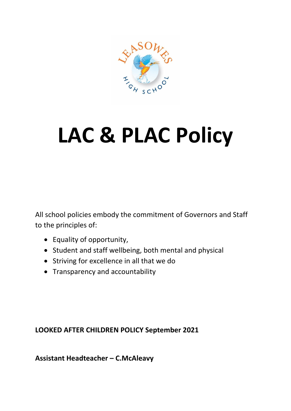

# **LAC & PLAC Policy**

All school policies embody the commitment of Governors and Staff to the principles of:

- Equality of opportunity,
- Student and staff wellbeing, both mental and physical
- Striving for excellence in all that we do
- Transparency and accountability

## **LOOKED AFTER CHILDREN POLICY September 2021**

**Assistant Headteacher – C.McAleavy**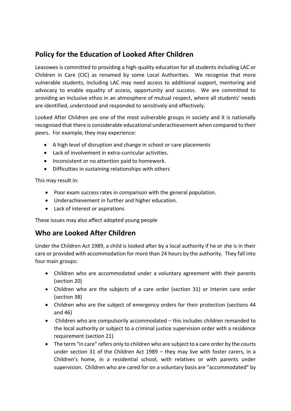## **Policy for the Education of Looked After Children**

Leasowes is committed to providing a high-quality education for all students including LAC or Children in Care (CIC) as renamed by some Local Authorities. We recognise that more vulnerable students, including LAC may need access to additional support, mentoring and advocacy to enable equality of access, opportunity and success. We are committed to providing an inclusive ethos in an atmosphere of mutual respect, where all students' needs are identified, understood and responded to sensitively and effectively.

Looked After Children are one of the most vulnerable groups in society and it is nationally recognised that there is considerable educational underachievement when compared to their peers. For example, they may experience:

- A high level of disruption and change in school or care placements
- Lack of involvement in extra-curricular activities.
- Inconsistent or no attention paid to homework.
- Difficulties in sustaining relationships with others

This may result in:

- Poor exam success rates in comparison with the general population.
- Underachievement in further and higher education.
- Lack of interest or aspirations

These issues may also affect adopted young people

### **Who are Looked After Children**

Under the Children Act 1989, a child is looked after by a local authority if he or she is in their care or provided with accommodation for more than 24 hours by the authority. They fall into four main groups:

- Children who are accommodated under a voluntary agreement with their parents (section 20)
- Children who are the subjects of a care order (section 31) or interim care order (section 38)
- Children who are the subject of emergency orders for their protection (sections 44 and 46)
- Children who are compulsorily accommodated this includes children remanded to the local authority or subject to a criminal justice supervision order with a residence requirement (section 21)
- The term "in care" refers only to children who are subject to a care order by the courts under section 31 of the Children Act 1989 – they may live with foster carers, in a Children's home, in a residential school, with relatives or with parents under supervision. Children who are cared for on a voluntary basis are "accommodated" by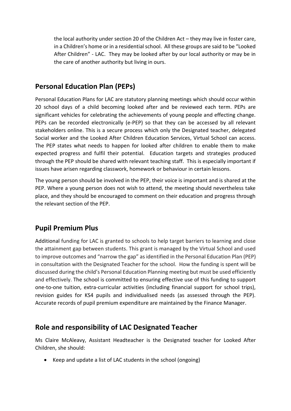the local authority under section 20 of the Children Act – they may live in foster care, in a Children's home or in a residential school. All these groups are said to be "Looked After Children" - LAC. They may be looked after by our local authority or may be in the care of another authority but living in ours.

## **Personal Education Plan (PEPs)**

Personal Education Plans for LAC are statutory planning meetings which should occur within 20 school days of a child becoming looked after and be reviewed each term. PEPs are significant vehicles for celebrating the achievements of young people and effecting change. PEPs can be recorded electronically (e-PEP) so that they can be accessed by all relevant stakeholders online. This is a secure process which only the Designated teacher, delegated Social worker and the Looked After Children Education Services, Virtual School can access. The PEP states what needs to happen for looked after children to enable them to make expected progress and fulfil their potential. Education targets and strategies produced through the PEP should be shared with relevant teaching staff. This is especially important if issues have arisen regarding classwork, homework or behaviour in certain lessons.

The young person should be involved in the PEP, their voice is important and is shared at the PEP. Where a young person does not wish to attend, the meeting should nevertheless take place, and they should be encouraged to comment on their education and progress through the relevant section of the PEP.

## **Pupil Premium Plus**

Additional funding for LAC is granted to schools to help target barriers to learning and close the attainment gap between students. This grant is managed by the Virtual School and used to improve outcomes and "narrow the gap" as identified in the Personal Education Plan (PEP) in consultation with the Designated Teacher for the school. How the funding is spent will be discussed during the child's Personal Education Planning meeting but must be used efficiently and effectively. The school is committed to ensuring effective use of this funding to support one-to-one tuition, extra-curricular activities (including financial support for school trips), revision guides for KS4 pupils and individualised needs (as assessed through the PEP). Accurate records of pupil premium expenditure are maintained by the Finance Manager.

## **Role and responsibility of LAC Designated Teacher**

Ms Claire McAleavy, Assistant Headteacher is the Designated teacher for Looked After Children, she should:

• Keep and update a list of LAC students in the school (ongoing)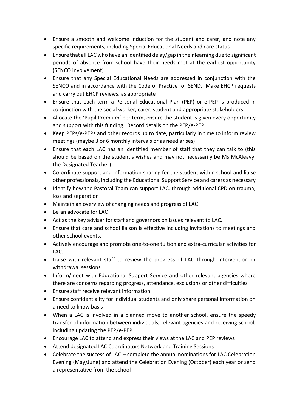- Ensure a smooth and welcome induction for the student and carer, and note any specific requirements, including Special Educational Needs and care status
- Ensure that all LAC who have an identified delay/gap in their learning due to significant periods of absence from school have their needs met at the earliest opportunity (SENCO involvement)
- Ensure that any Special Educational Needs are addressed in conjunction with the SENCO and in accordance with the Code of Practice for SEND. Make EHCP requests and carry out EHCP reviews, as appropriate
- Ensure that each term a Personal Educational Plan (PEP) or e-PEP is produced in conjunction with the social worker, carer, student and appropriate stakeholders
- Allocate the 'Pupil Premium' per term, ensure the student is given every opportunity and support with this funding. Record details on the PEP/e-PEP
- Keep PEPs/e-PEPs and other records up to date, particularly in time to inform review meetings (maybe 3 or 6 monthly intervals or as need arises)
- Ensure that each LAC has an identified member of staff that they can talk to (this should be based on the student's wishes and may not necessarily be Ms McAleavy, the Designated Teacher)
- Co-ordinate support and information sharing for the student within school and liaise other professionals, including the Educational Support Service and carers as necessary
- Identify how the Pastoral Team can support LAC, through additional CPD on trauma, loss and separation
- Maintain an overview of changing needs and progress of LAC
- Be an advocate for LAC
- Act as the key adviser for staff and governors on issues relevant to LAC.
- Ensure that care and school liaison is effective including invitations to meetings and other school events.
- Actively encourage and promote one-to-one tuition and extra-curricular activities for LAC.
- Liaise with relevant staff to review the progress of LAC through intervention or withdrawal sessions
- Inform/meet with Educational Support Service and other relevant agencies where there are concerns regarding progress, attendance, exclusions or other difficulties
- Ensure staff receive relevant information
- Ensure confidentiality for individual students and only share personal information on a need to know basis
- When a LAC is involved in a planned move to another school, ensure the speedy transfer of information between individuals, relevant agencies and receiving school, including updating the PEP/e-PEP
- Encourage LAC to attend and express their views at the LAC and PEP reviews
- Attend designated LAC Coordinators Network and Training Sessions
- Celebrate the success of LAC complete the annual nominations for LAC Celebration Evening (May/June) and attend the Celebration Evening (October) each year or send a representative from the school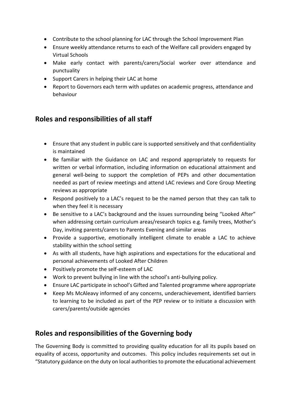- Contribute to the school planning for LAC through the School Improvement Plan
- Ensure weekly attendance returns to each of the Welfare call providers engaged by Virtual Schools
- Make early contact with parents/carers/Social worker over attendance and punctuality
- Support Carers in helping their LAC at home
- Report to Governors each term with updates on academic progress, attendance and behaviour

## **Roles and responsibilities of all staff**

- Ensure that any student in public care is supported sensitively and that confidentiality is maintained
- Be familiar with the Guidance on LAC and respond appropriately to requests for written or verbal information, including information on educational attainment and general well-being to support the completion of PEPs and other documentation needed as part of review meetings and attend LAC reviews and Core Group Meeting reviews as appropriate
- Respond positively to a LAC's request to be the named person that they can talk to when they feel it is necessary
- Be sensitive to a LAC's background and the issues surrounding being "Looked After" when addressing certain curriculum areas/research topics e.g. family trees, Mother's Day, inviting parents/carers to Parents Evening and similar areas
- Provide a supportive, emotionally intelligent climate to enable a LAC to achieve stability within the school setting
- As with all students, have high aspirations and expectations for the educational and personal achievements of Looked After Children
- Positively promote the self-esteem of LAC
- Work to prevent bullying in line with the school's anti-bullying policy.
- Ensure LAC participate in school's Gifted and Talented programme where appropriate
- Keep Ms McAleavy informed of any concerns, underachievement, identified barriers to learning to be included as part of the PEP review or to initiate a discussion with carers/parents/outside agencies

## **Roles and responsibilities of the Governing body**

The Governing Body is committed to providing quality education for all its pupils based on equality of access, opportunity and outcomes. This policy includes requirements set out in "Statutory guidance on the duty on local authorities to promote the educational achievement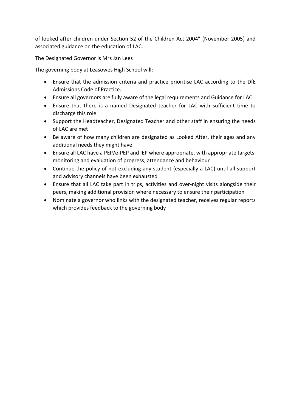of looked after children under Section 52 of the Children Act 2004" (November 2005) and associated guidance on the education of LAC.

The Designated Governor is Mrs Jan Lees

The governing body at Leasowes High School will:

- Ensure that the admission criteria and practice prioritise LAC according to the DfE Admissions Code of Practice.
- Ensure all governors are fully aware of the legal requirements and Guidance for LAC
- Ensure that there is a named Designated teacher for LAC with sufficient time to discharge this role
- Support the Headteacher, Designated Teacher and other staff in ensuring the needs of LAC are met
- Be aware of how many children are designated as Looked After, their ages and any additional needs they might have
- Ensure all LAC have a PEP/e-PEP and IEP where appropriate, with appropriate targets, monitoring and evaluation of progress, attendance and behaviour
- Continue the policy of not excluding any student (especially a LAC) until all support and advisory channels have been exhausted
- Ensure that all LAC take part in trips, activities and over-night visits alongside their peers, making additional provision where necessary to ensure their participation
- Nominate a governor who links with the designated teacher, receives regular reports which provides feedback to the governing body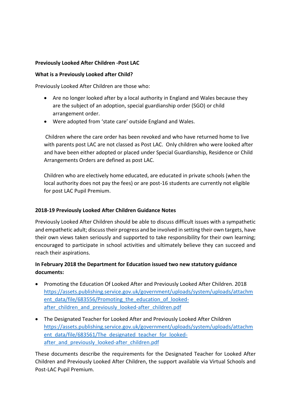#### **Previously Looked After Children -Post LAC**

#### **What is a Previously Looked after Child?**

Previously Looked After Children are those who:

- Are no longer looked after by a local authority in England and Wales because they are the subject of an adoption, special guardianship order (SGO) or child arrangement order.
- Were adopted from 'state care' outside England and Wales.

Children where the care order has been revoked and who have returned home to live with parents post LAC are not classed as Post LAC. Only children who were looked after and have been either adopted or placed under Special Guardianship, Residence or Child Arrangements Orders are defined as post LAC.

Children who are electively home educated, are educated in private schools (when the local authority does not pay the fees) or are post-16 students are currently not eligible for post LAC Pupil Premium.

#### **2018-19 Previously Looked After Children Guidance Notes**

Previously Looked After Children should be able to discuss difficult issues with a sympathetic and empathetic adult; discuss their progress and be involved in setting their own targets, have their own views taken seriously and supported to take responsibility for their own learning; encouraged to participate in school activities and ultimately believe they can succeed and reach their aspirations.

#### **In February 2018 the Department for Education issued two new statutory guidance documents:**

- Promoting the Education Of Looked After and Previously Looked After Children. 2018 [https://assets.publishing.service.gov.uk/government/uploads/system/uploads/attachm](https://assets.publishing.service.gov.uk/government/uploads/system/uploads/attachment_data/file/683556/Promoting_the_education_of_looked-after_children_and_previously_looked-after_children.pdf) ent data/file/683556/Promoting the education of lookedafter children and previously looked-after children.pdf
- The Designated Teacher for Looked After and Previously Looked After Children [https://assets.publishing.service.gov.uk/government/uploads/system/uploads/attachm](https://assets.publishing.service.gov.uk/government/uploads/system/uploads/attachment_data/file/683561/The_designated_teacher_for_looked-after_and_previously_looked-after_children.pdf) ent data/file/683561/The designated teacher for lookedafter and previously looked-after children.pdf

These documents describe the requirements for the Designated Teacher for Looked After Children and Previously Looked After Children, the support available via Virtual Schools and Post-LAC Pupil Premium.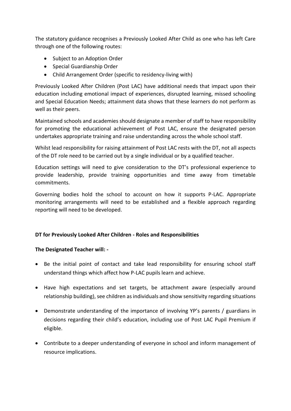The statutory guidance recognises a Previously Looked After Child as one who has left Care through one of the following routes:

- Subject to an Adoption Order
- Special Guardianship Order
- Child Arrangement Order (specific to residency-living with)

Previously Looked After Children (Post LAC) have additional needs that impact upon their education including emotional impact of experiences, disrupted learning, missed schooling and Special Education Needs; attainment data shows that these learners do not perform as well as their peers.

Maintained schools and academies should designate a member of staff to have responsibility for promoting the educational achievement of Post LAC, ensure the designated person undertakes appropriate training and raise understanding across the whole school staff.

Whilst lead responsibility for raising attainment of Post LAC rests with the DT, not all aspects of the DT role need to be carried out by a single individual or by a qualified teacher.

Education settings will need to give consideration to the DT's professional experience to provide leadership, provide training opportunities and time away from timetable commitments.

Governing bodies hold the school to account on how it supports P-LAC. Appropriate monitoring arrangements will need to be established and a flexible approach regarding reporting will need to be developed.

#### **DT for Previously Looked After Children - Roles and Responsibilities**

#### **The Designated Teacher will: -**

- Be the initial point of contact and take lead responsibility for ensuring school staff understand things which affect how P-LAC pupils learn and achieve.
- Have high expectations and set targets, be attachment aware (especially around relationship building), see children as individuals and show sensitivity regarding situations
- Demonstrate understanding of the importance of involving YP's parents / guardians in decisions regarding their child's education, including use of Post LAC Pupil Premium if eligible.
- Contribute to a deeper understanding of everyone in school and inform management of resource implications.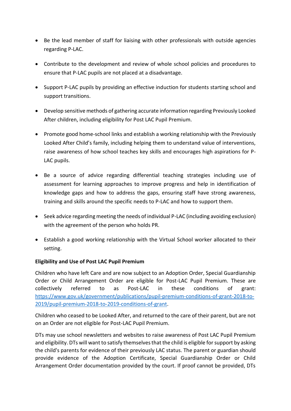- Be the lead member of staff for liaising with other professionals with outside agencies regarding P-LAC.
- Contribute to the development and review of whole school policies and procedures to ensure that P-LAC pupils are not placed at a disadvantage.
- Support P-LAC pupils by providing an effective induction for students starting school and support transitions.
- Develop sensitive methods of gathering accurate information regarding Previously Looked After children, including eligibility for Post LAC Pupil Premium.
- Promote good home-school links and establish a working relationship with the Previously Looked After Child's family, including helping them to understand value of interventions, raise awareness of how school teaches key skills and encourages high aspirations for P-LAC pupils.
- Be a source of advice regarding differential teaching strategies including use of assessment for learning approaches to improve progress and help in identification of knowledge gaps and how to address the gaps, ensuring staff have strong awareness, training and skills around the specific needs to P-LAC and how to support them.
- Seek advice regarding meeting the needs of individual P-LAC (including avoiding exclusion) with the agreement of the person who holds PR.
- Establish a good working relationship with the Virtual School worker allocated to their setting.

#### **Eligibility and Use of Post LAC Pupil Premium**

Children who have left Care and are now subject to an Adoption Order, Special Guardianship Order or Child Arrangement Order are eligible for Post-LAC Pupil Premium. These are collectively referred to as Post-LAC in these conditions of grant: [https://www.gov.uk/government/publications/pupil-premium-conditions-of-grant-2018-to-](https://www.gov.uk/government/publications/pupil-premium-conditions-of-grant-2018-to-2019/pupil-premium-2018-to-2019-conditions-of-grant)[2019/pupil-premium-2018-to-2019-conditions-of-grant.](https://www.gov.uk/government/publications/pupil-premium-conditions-of-grant-2018-to-2019/pupil-premium-2018-to-2019-conditions-of-grant)

Children who ceased to be Looked After, and returned to the care of their parent, but are not on an Order are not eligible for Post-LAC Pupil Premium.

DTs may use school newsletters and websites to raise awareness of Post LAC Pupil Premium and eligibility. DTs will want to satisfy themselves that the child is eligible for support by asking the child's parents for evidence of their previously LAC status. The parent or guardian should provide evidence of the Adoption Certificate, Special Guardianship Order or Child Arrangement Order documentation provided by the court. If proof cannot be provided, DTs